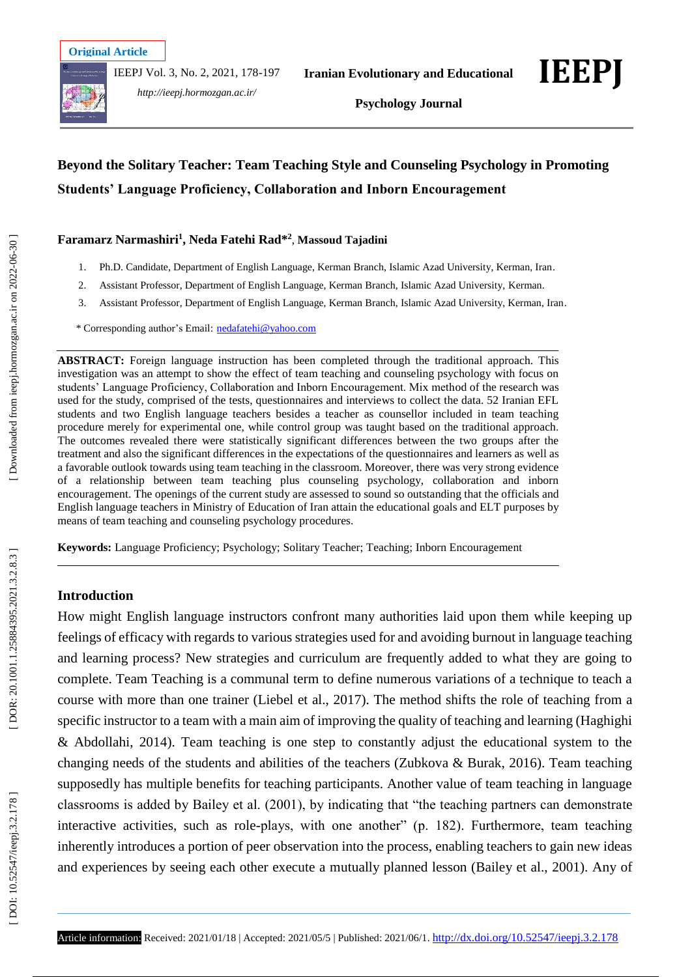IEEPJ Vol. 3, No. 2, 2021, 178 -197



*http://ieepj.hormozgan.ac.ir/*



**Psychology Journal**

# **Beyond the Solitary Teacher: Team Teaching Style and Counseling Psychology in Promoting Students' Language Proficiency, Collaboration and Inborn Encouragement**

### **Faramarz Narmashiri 1 , Neda Fatehi Rad \* 2** , **Massoud Tajadini**

- 1 . Ph.D. Candidate, Department of English Language, Kerman Branch, Islamic Azad University, Kerman, Iran .
- 2 . Assistant Professor, Department of English Language, Kerman Branch, Islamic Azad University, Kerman .
- 3 . Assistant Professor, Department of English Language, Kerman Branch, Islamic Azad University, Kerman, Iran .

\* Corresponding author's Email : [nedafatehi@yahoo.com](mailto:nedafatehi@yahoo.com)

**ABSTRACT:** Foreign language instruction has been completed through the traditional approach. This investigation was an attempt to show the effect of team teaching and counseling psychology with focus on students' Language Proficiency, Collaboration and Inborn Encouragement. Mix method of the research was used for the study, comprised of the tests, questionnaires and interviews to collect the data. 52 Iranian EFL students and two English language teachers besides a teacher as counsellor included in team teaching procedure merely for experimental one, while control group was taught based on the traditional approach. The outcomes revealed there were statistically significant differences between the two groups after the treatment and also the significant differences in the expectations of the questionnaires and learners as well as a favorable outlook towards using team teaching in the classroom. Moreover, there was very strong evidence of a relationship between team teaching plus counseling psychology, collaboration and inborn encouragement. The openings of the current study are assessed to sound so outstanding that the officials and English language teachers in Ministry of Education of Iran attain the educational goals and ELT purposes by means of team teaching and counseling psychology procedures.

**Keywords:** Language Proficiency; Psychology; Solitary Teacher; Teaching; Inborn Encouragement

### **Introduction**

How might English language instructors confront many authorities laid upon them while keeping up feelings of efficacy with regards to various strategies used for and avoiding burnout in language teaching and learning process? New strategies and curriculum are frequently added to what they are going to complete. Team Teaching is a communal term to define numerous variations of a technique to teach a course with more than one trainer (Liebel et al., 2017). The method shifts the role of teaching from a specific instructor to a team with a main aim of improving the quality of teaching and learning (Haghighi & Abdollahi, 2014). Team teaching is one step to constantly adjust the educational system to the changing needs of the students and abilities of the teachers (Zubkova & Burak, 2016). Team teaching supposedly has multiple benefits for teaching participants. Another value of team teaching in language classrooms is added by Bailey et al. (2001), by indicating that "the teaching partners can demonstrate interactive activities, such as role -plays, with one another" (p. 182). Furthermore, team teaching inherently introduces a portion of peer observation into the process, enabling teachers to gain new ideas and experiences by seeing each other execute a mutually planned lesson (Bailey et al., 2001). Any of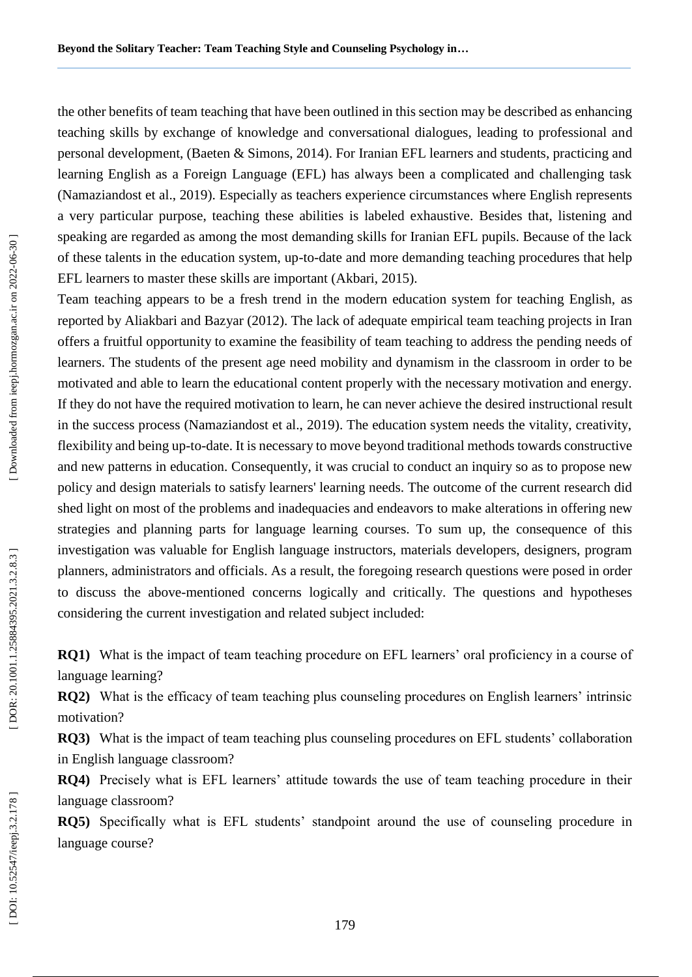the other benefits of team teaching that have been outlined in this section may be described as enhancing teaching skills by exchange of knowledge and conversational dialogues, leading to professional and personal development, (Baeten & Simons, 2014). For Iranian EFL learners and students, practicing and learning English as a Foreign Language (EFL) has always been a complicated and challenging task (Namaziandost et al., 2019). Especially as teachers experience circumstances where English represents a very particular purpose, teaching these abilities is labeled exhaustive. Besides that, listening and speaking are regarded as among the most demanding skills for Iranian EFL pupils. Because of the lack of these talents in the education system, up -to -date and more demanding teaching procedures that help EFL learners to master these skills are important (Akbari, 2015).

Team teaching appears to be a fresh trend in the modern education system for teaching English, as reported by Aliakbari and Bazyar (2012). The lack of adequate empirical team teaching projects in Iran offers a fruitful opportunity to examine the feasibility of team teaching to address the pending needs of learners. The students of the present age need mobility and dynamism in the classroom in order to be motivated and able to learn the educational content properly with the necessary motivation and energy. If they do not have the required motivation to learn, he can never achieve the desired instructional result in the success process (Namaziandost et al., 2019). The education system needs the vitality, creativity, flexibility and being up -to -date. It is necessary to move beyond traditional methods towards constructive and new patterns in education. Consequently, it was crucial to conduct an inquiry so as to propose new policy and design materials to satisfy learners' learning needs. The outcome of the current research did shed light on most of the problems and inadequacies and endeavors to make alterations in offering new strategies and planning parts for language learning courses. To sum up, the consequence of this investigation was valuable for English language instructors, materials developers, designers, program planners, administrators and officials. As a result, the foregoing research questions were posed in order to discuss the above -mentioned concerns logically and critically. The questions and hypotheses considering the current investigation and related subject included:

**RQ1)** What is the impact of team teaching procedure on EFL learners' oral proficiency in a course of language learning?

**RQ 2 )** What is the efficacy of team teaching plus counseling procedures on English learners' intrinsic motivation?

**RQ 3 )** What is the impact of team teaching plus counseling procedures on EFL students' collaboration in English language classroom?

**RQ 4 )** Precisely what is EFL learners' attitude towards the use of team teaching procedure in their language classroom?

**RQ 5 )** Specifically what is EFL students' standpoint around the use of counseling procedure in language course?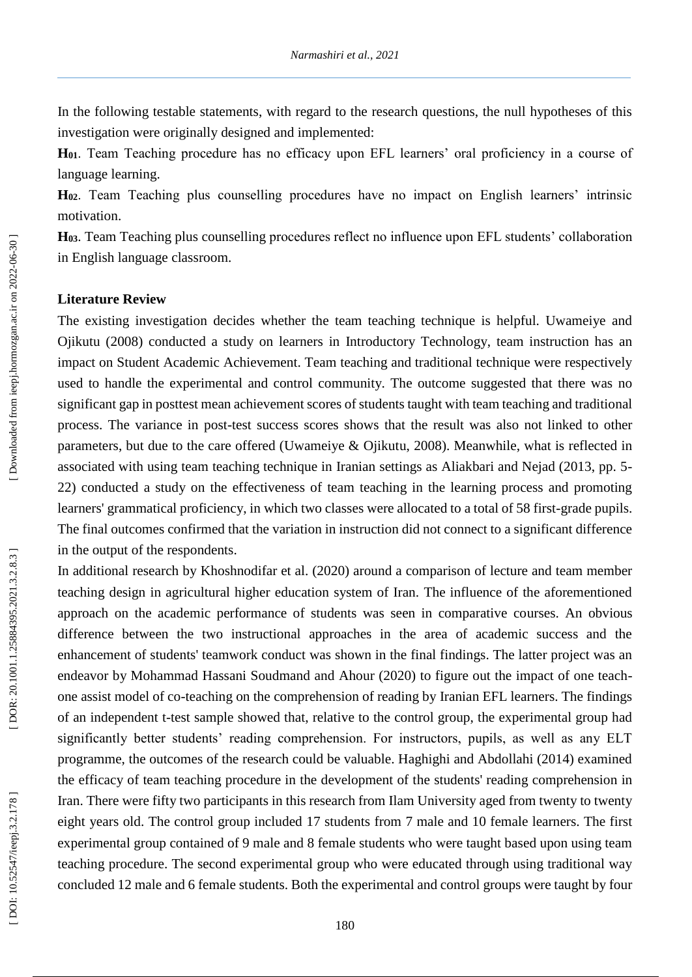In the following testable statements, with regard to the research questions, the null hypotheses of this investigation were originally designed and implemented:

**H01**. Team Teaching procedure has no efficacy upon EFL learners' oral proficiency in a course of language learning.

**H02**. Team Teaching plus counselling procedures have no impact on English learners' intrinsic motivation.

**H03**. Team Teaching plus counselling procedures reflect no influence upon EFL students' collaboration in English language classroom.

### **Literature Review**

The existing investigation decides whether the team teaching technique is helpful. Uwameiye and Ojikutu (2008) conducted a study on learners in Introductory Technology, team instruction has an impact on Student Academic Achievement. Team teaching and traditional technique were respectively used to handle the experimental and control community. The outcome suggested that there was no significant gap in posttest mean achievement scores of students taught with team teaching and traditional process. The variance in post -test success scores shows that the result was also not linked to other parameters, but due to the care offered (Uwameiye & Ojikutu, 2008). Meanwhile, what is reflected in associated with using team teaching technique in Iranian settings as Aliakbari and Nejad (2013, pp. 5 - 22) conducted a study on the effectiveness of team teaching in the learning process and promoting learners' grammatical proficiency, in which two classes were allocated to a total of 58 first -grade pupils. The final outcomes confirmed that the variation in instruction did not connect to a significant difference in the output of the respondents.

In additional research by Khoshnodifar et al. (2020) around a comparison of lecture and team member teaching design in agricultural higher education system of Iran. The influence of the aforementioned approach on the academic performance of students was seen in comparative courses. An obvious difference between the two instructional approaches in the area of academic success and the enhancement of students' teamwork conduct was shown in the final findings. The latter project was an endeavor by Mohammad Hassani Soudmand and Ahour (2020) to figure out the impact of one teach one assist model of co -teaching on the comprehension of reading by Iranian EFL learners. The findings of an independent t -test sample showed that, relative to the control group, the experimental group had significantly better students' reading comprehension. For instructors, pupils, as well as any ELT programme, the outcomes of the research could be valuable. Haghighi and Abdollahi (2014) examined the efficacy of team teaching procedure in the development of the students' reading comprehension in Iran. There were fifty two participants in this research from Ilam University aged from twenty to twenty eight years old. The control group included 17 students from 7 male and 10 female learners. The first experimental group contained of 9 male and 8 female students who were taught based upon using team teaching procedure. The second experimental group who were educated through using traditional way concluded 12 male and 6 female students. Both the experimental and control groups were taught by four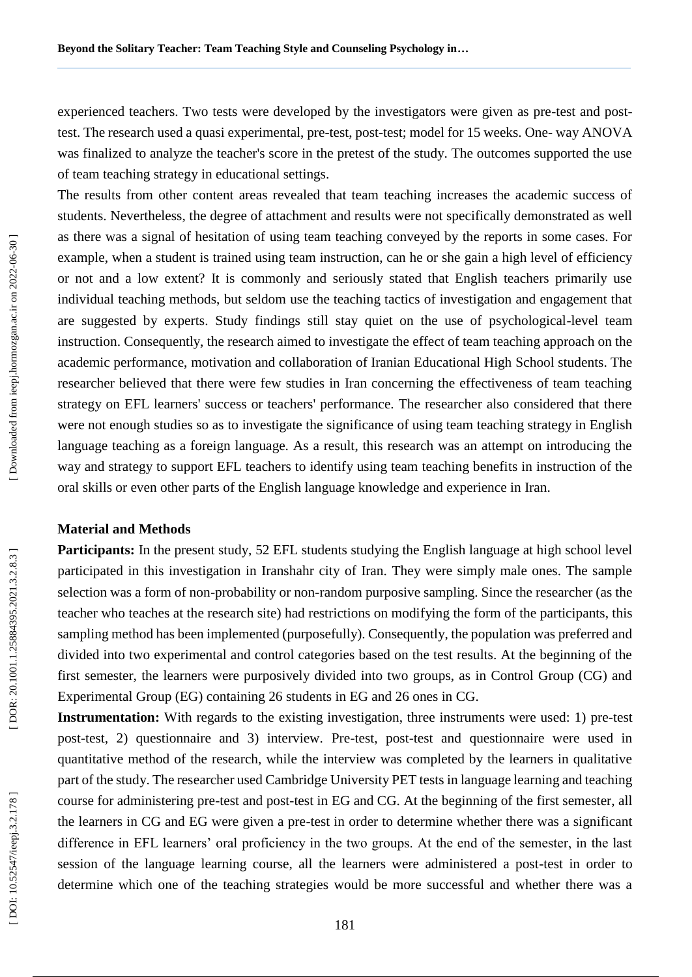experienced teachers. Two tests were developed by the investigators were given as pre-test and posttest. The research used a quasi experimental, pre-test, post-test; model for 15 weeks. One-way ANOVA was finalized to analyze the teacher's score in the pretest of the study. The outcomes supported the use of team teaching strategy in educational settings.

The results from other content areas revealed that team teaching increases the academic success of students. Nevertheless, the degree of attachment and results were not specifically demonstrated as well as there was a signal of hesitation of using team teaching conveyed by the reports in some cases. For example, when a student is trained using team instruction, can he or she gain a high level of efficiency or not and a low extent? It is commonly and seriously stated that English teachers primarily use individual teaching methods, but seldom use the teaching tactics of investigation and engagement that are suggested by experts. Study findings still stay quiet on the use of psychological -level team instruction. Consequently, the research aimed to investigate the effect of team teaching approach on the academic performance, motivation and collaboration of Iranian Educational High School students. The researcher believed that there were few studies in Iran concerning the effectiveness of team teaching strategy on EFL learners' success or teachers' performance. The researcher also considered that there were not enough studies so as to investigate the significance of using team teaching strategy in English language teaching as a foreign language. As a result, this research was an attempt on introducing the way and strategy to support EFL teachers to identify using team teaching benefits in instruction of the oral skills or even other parts of the English language knowledge and experience in Iran.

### **Material and Method s**

**Participants:** In the present study, 52 EFL students studying the English language at high school level participated in this investigation in Iranshahr city of Iran. They were simply male ones. The sample selection was a form of non-probability or non-random purposive sampling. Since the researcher (as the teacher who teaches at the research site) had restrictions on modifying the form of the participants, this sampling method has been implemented (purposefully). Consequently, the population was preferred and divided into two experimental and control categories based on the test results. At the beginning of the first semester, the learners were purposively divided into two groups, as in Control Group (CG) and Experimental Group (EG) containing 26 students in EG and 26 ones in CG.

Instrumentation: With regards to the existing investigation, three instruments were used: 1) pre-test post -test, 2) questionnaire and 3) interview. Pre -test, post -test and questionnaire were used in quantitative method of the research, while the interview was completed by the learners in qualitative part of the study. The researcher used Cambridge University PET tests in language learning and teaching course for administering pre -test and post -test in EG and CG. At the beginning of the first semester, all the learners in CG and EG were given a pre -test in order to determine whether there was a significant difference in EFL learners' oral proficiency in the two groups. At the end of the semester, in the last session of the language learning course, all the learners were administered a post -test in order to determine which one of the teaching strategies would be more successful and whether there was a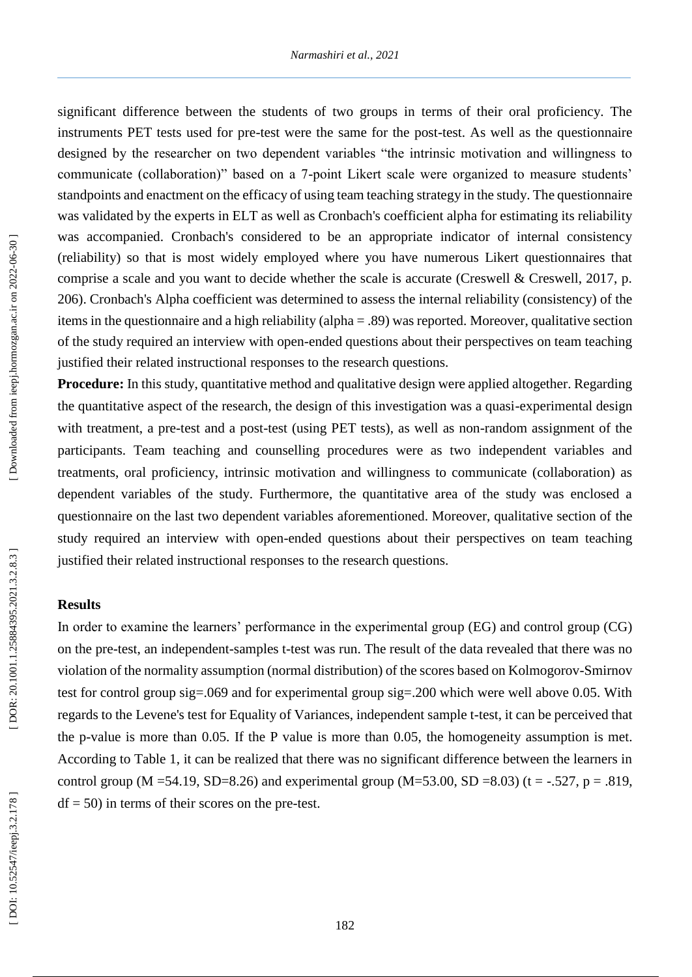significant difference between the students of two groups in terms of their oral proficiency. The instruments PET tests used for pre -test were the same for the post -test. As well as the questionnaire designed by the researcher on two dependent variables "the intrinsic motivation and willingness to communicate (collaboration)" based on a 7 -point Likert scale were organized to measure students' standpoints and enactment on the efficacy of using team teaching strategy in the study. The questionnaire was validated by the experts in ELT as well as Cronbach's coefficient alpha for estimating its reliability was accompanied. Cronbach's considered to be an appropriate indicator of internal consistency (reliability) so that is most widely employed where you have numerous Likert questionnaires that comprise a scale and you want to decide whether the scale is accurate (Creswell & Creswell, 2017, p. 206). Cronbach's Alpha coefficient was determined to assess the internal reliability (consistency) of the items in the questionnaire and a high reliability (alpha = .89) was reported. Moreover, qualitative section of the study required an interview with open -ended questions about their perspectives on team teaching justified their related instructional responses to the research questions.

**Procedure:** In this study, quantitative method and qualitative design were applied altogether. Regarding the quantitative aspect of the research, the design of this investigation was a quasi -experimental design with treatment, a pre-test and a post-test (using PET tests), as well as non-random assignment of the participants. Team teaching and counselling procedures were as two independent variables and treatments, oral proficiency, intrinsic motivation and willingness to communicate (collaboration) as dependent variables of the study. Furthermore, the quantitative area of the study was enclosed a questionnaire on the last two dependent variables aforementioned. Moreover, qualitative section of the study required an interview with open -ended questions about their perspectives on team teaching justified their related instructional responses to the research questions.

### **Results**

In order to examine the learners' performance in the experimental group (EG) and control group (CG) on the pre -test, an independent -samples t -test was run. The result of the data revealed that there was no violation of the normality assumption (normal distribution) of the scores based on Kolmogorov -Smirnov test for control group sig=.069 and for experimental group sig=.200 which were well above 0.05. With regards to the Levene's test for Equality of Variances, independent sample t -test, it can be perceived that the p -value is more than 0.05. If the P value is more than 0.05, the homogeneity assumption is met. According to Table 1, it can be realized that there was no significant difference between the learners in control group (M = 54.19, SD=8.26) and experimental group (M= 53.00, SD = 8.03) (t = -.527, p = .819,  $df = 50$ ) in terms of their scores on the pre-test.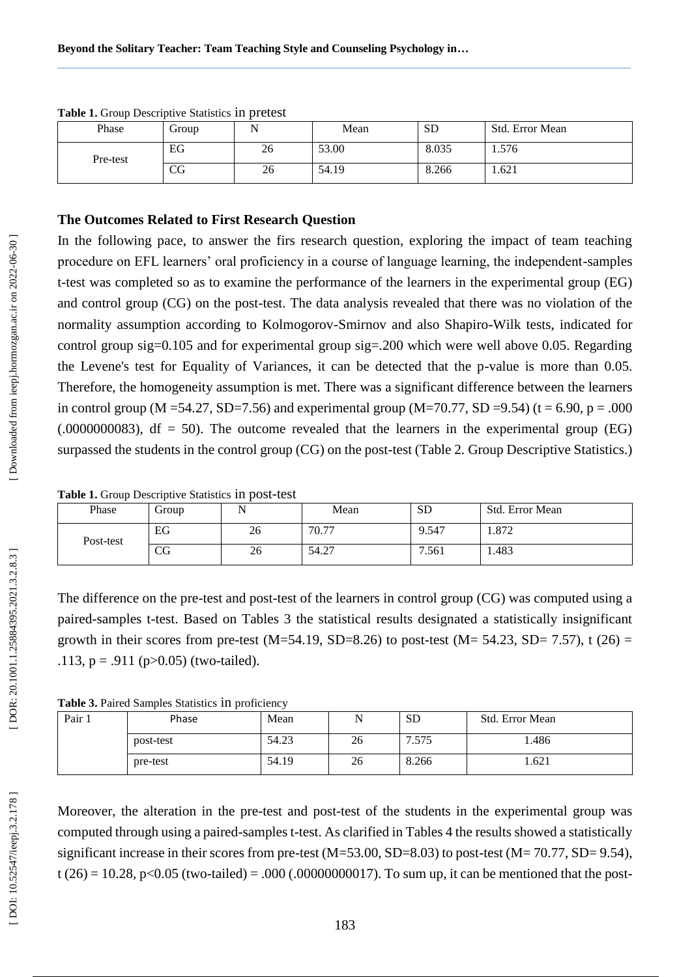| Phase    | Group       | . . | Mean  | <b>SD</b> | Std. Error Mean |
|----------|-------------|-----|-------|-----------|-----------------|
| Pre-test | EG          | 26  | 53.00 | 8.035     | 1.576           |
|          | $_{\rm CG}$ | 26  | 54.19 | 8.266     | 1.621           |

**Table 1.** Group Descriptive Statistics in pretest

### **The Outcomes Related to First Research Question**

In the following pace, to answer the firs research question, exploring the impact of team teaching procedure on EFL learners' oral proficiency in a course of language learning, the independent -samples t -test was completed so as to examine the performance of the learners in the experimental group (EG) and control group (CG) on the post -test. The data analysis revealed that there was no violation of the normality assumption according to Kolmogorov -Smirnov and also Shapiro -Wilk tests, indicated for control group sig=0.105 and for experimental group sig=.200 which were well above 0.05. Regarding the Levene's test for Equality of Variances, it can be detected that the p -value is more than 0.05. Therefore, the homogeneity assumption is met. There was a significant difference between the learners in control group (M = 54.27, SD=7.56) and experimental group (M=70.77, SD = 9.54) (t = 6.90, p = .000  $(0.0000000083)$ , df = 50). The outcome revealed that the learners in the experimental group (EG) surpassed the students in the control group (CG) on the post -test (Table 2. Group Descriptive Statistics.)

| Phase     | droup    | N  | Mean  | <b>SD</b> | Std. Error Mean |
|-----------|----------|----|-------|-----------|-----------------|
| Post-test | EG       | 26 | 70.77 | 9.547     | 1.872           |
|           | rη<br>CQ | 26 | 54.27 | 7.561     | 1.483           |

Table 1. Group Descriptive Statistics in post-test

The difference on the pre-test and post-test of the learners in control group (CG) was computed using a paired -samples t -test. Based on Tables 3 the statistical results designated a statistically insignificant growth in their scores from pre-test (M=54.19, SD=8.26) to post-test (M= 54.23, SD= 7.57), t (26) = .113,  $p = .911$  ( $p > 0.05$ ) (two-tailed).

| Table 3. Paired Samples Statistics in proficiency |  |  |  |
|---------------------------------------------------|--|--|--|
|---------------------------------------------------|--|--|--|

| Pair | Phase     | Mean  |    | <b>SD</b> | Std. Error Mean |
|------|-----------|-------|----|-----------|-----------------|
|      | post-test | 54.23 | 26 | 7.575     | 1.486           |
|      | pre-test  | 54.19 | 26 | 8.266     | 1.621           |

Moreover, the alteration in the pre -test and post -test of the students in the experimental group was computed through using a paired -samples t -test. As clarified in Tables 4 the results showed a statistically significant increase in their scores from pre-test (M=53.00, SD=8.03) to post-test (M=70.77, SD=9.54),  $t(26) = 10.28$ , p<0.05 (two-tailed) = .000 (.00000000017). To sum up, it can be mentioned that the post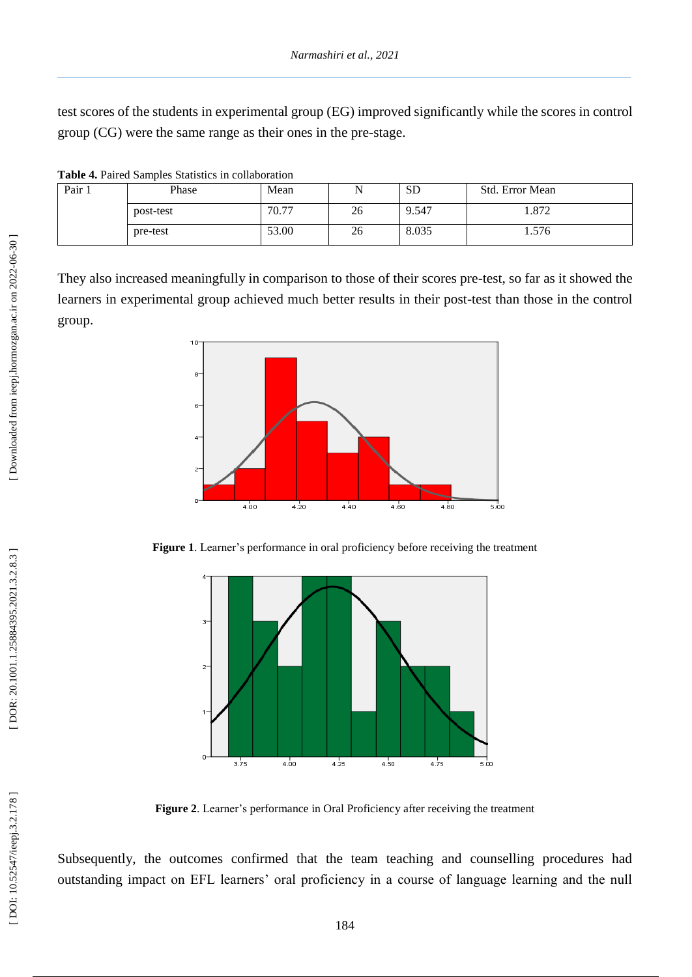test scores of the students in experimental group (EG) improved significantly while the scores in control group (CG) were the same range as their ones in the pre -stage.

| Pair 1 | Phase     | Mean  |    | <b>SD</b> | Std. Error Mean |
|--------|-----------|-------|----|-----------|-----------------|
|        | post-test | 70.77 | 26 | 9.547     | 1.872           |
|        | pre-test  | 53.00 | 26 | 8.035     | 1.576           |

They also increased meaningfully in comparison to those of their scores pre -test, so far as it showed the learners in experimental group achieved much better results in their post -test than those in the control group.



**Figure 1**. Learner's performance in oral proficiency before receiving the treatment



**Figure 2**. Learner's performance in Oral Proficiency after receiving the treatment

Subsequently, the outcomes confirmed that the team teaching and counselling procedures had outstanding impact on EFL learners' oral proficiency in a course of language learning and the null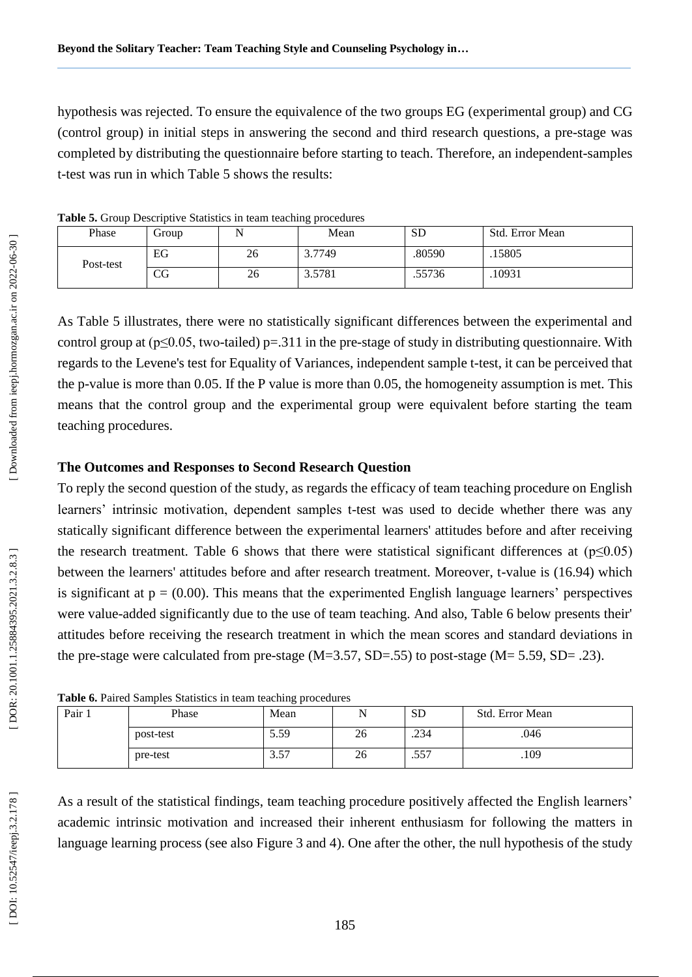hypothesis was rejected. To ensure the equivalence of the two groups EG (experimental group) and CG (control group) in initial steps in answering the second and third research questions, a pre-stage was completed by distributing the questionnaire before starting to teach. Therefore, an independent -samples t -test was run in which Table 5 shows the results:

|           |                   |        | <u>- 1</u> |           |                 |
|-----------|-------------------|--------|------------|-----------|-----------------|
| Phase     | Group             |        | Mean       | <b>SD</b> | Std. Error Mean |
| Post-test | EG                | 26     | 3.7749     | .80590    | .15805          |
|           | $_{\rm CG}$<br>26 | 3.5781 | .55736     | .10931    |                 |

**Table 5.** Group Descriptive Statistics in team teaching procedures

As Table 5 illustrates, there were no statistically significant differences between the experimental and control group at  $(p \le 0.05,$  two-tailed)  $p = 0.311$  in the pre-stage of study in distributing questionnaire. With regards to the Levene's test for Equality of Variances, independent sample t -test, it can be perceived that the p -value is more than 0.05. If the P value is more than 0.05, the homogeneity assumption is met. This means that the control group and the experimental group were equivalent before starting the team teaching procedures.

### **The Outcomes and Responses to Second Research Question**

To reply the second question of the study, as regards the efficacy of team teaching procedure on English learners' intrinsic motivation, dependent samples t -test was used to decide whether there was any statically significant difference between the experimental learners' attitudes before and after receiving the research treatment. Table 6 shows that there were statistical significant differences at  $(p \le 0.05)$ between the learners' attitudes before and after research treatment. Moreover, t -value is (16.94) which is significant at  $p = (0.00)$ . This means that the experimented English language learners' perspectives were value -added significantly due to the use of team teaching. And also, Table 6 below presents their' attitudes before receiving the research treatment in which the mean scores and standard deviations in the pre-stage were calculated from pre-stage  $(M=3.57, SD=.55)$  to post-stage  $(M=5.59, SD=.23)$ .

| able 0. I alled Ballipies Statistics III team teaching procedures |           |      |    |           |                 |  |
|-------------------------------------------------------------------|-----------|------|----|-----------|-----------------|--|
| Pair 1                                                            | Phase     | Mean |    | <b>SD</b> | Std. Error Mean |  |
|                                                                   | post-test | 5.59 | 26 | .234      | .046            |  |
|                                                                   | pre-test  | 3.57 | 26 | .557      | .109            |  |

|  |  |  | Table 6. Paired Samples Statistics in team teaching procedures |
|--|--|--|----------------------------------------------------------------|
|  |  |  |                                                                |

As a result of the statistical findings, team teaching procedure positively affected the English learners' academic intrinsic motivation and increased their inherent enthusiasm for following the matters in language learning process (see also Figure 3 and 4 ). One after the other, the null hypothesis of the study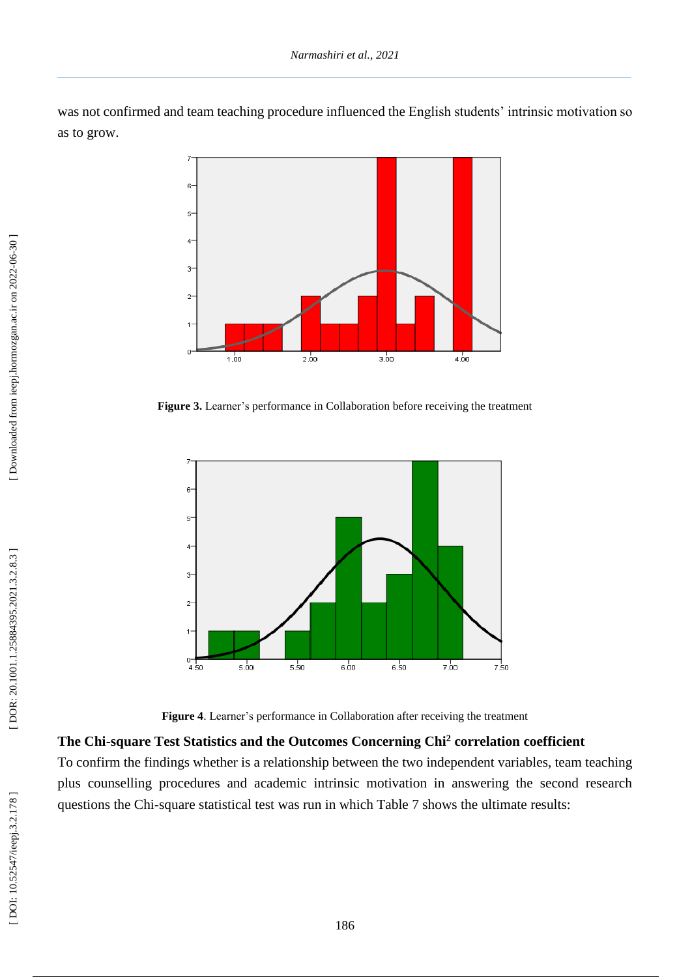was not confirmed and team teaching procedure influenced the English students' intrinsic motivation so as to grow.



**Figure 3.** Learner's performance in Collaboration before receiving the treatment



**Figure 4**. Learner's performance in Collaboration after receiving the treatment

# **The Chi -square Test Statistics and the Outcomes Concerning Chi <sup>2</sup> correlation coefficient**

To confirm the findings whether is a relationship between the two independent variables, team teaching plus counselling procedures and academic intrinsic motivation in answering the second research questions the Chi-square statistical test was run in which Table 7 shows the ultimate results: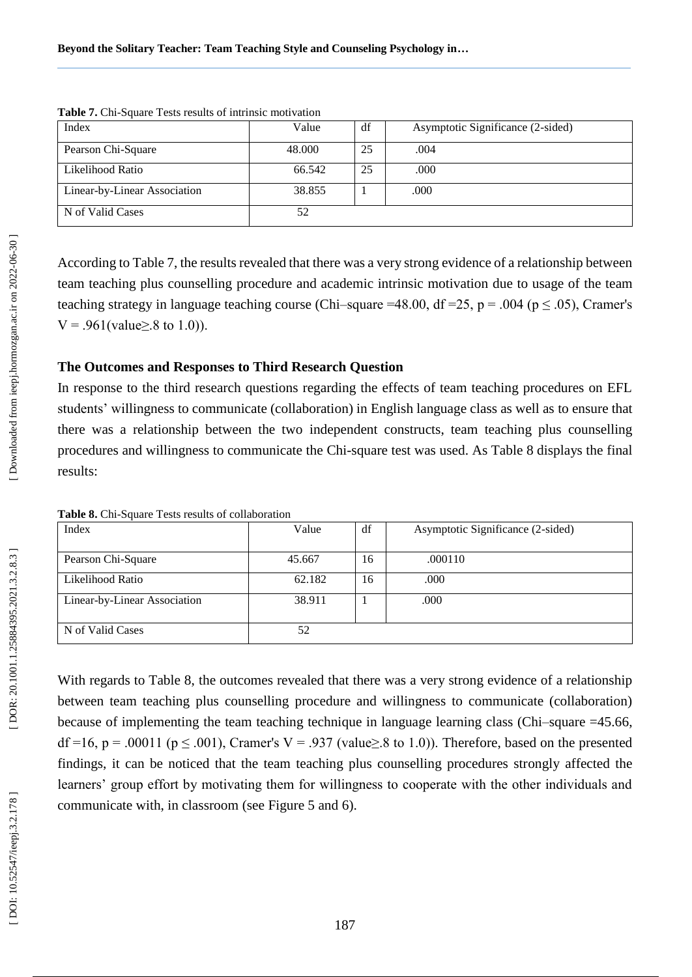| <b>THOIC</b> 11 Cm Definite Tests results of multiser moteration |        |    |                                   |
|------------------------------------------------------------------|--------|----|-----------------------------------|
| Index                                                            | Value  | df | Asymptotic Significance (2-sided) |
| Pearson Chi-Square                                               | 48.000 | 25 | .004                              |
| Likelihood Ratio                                                 | 66.542 | 25 | .000                              |
| Linear-by-Linear Association                                     | 38.855 |    | .000                              |
| N of Valid Cases                                                 | 52     |    |                                   |

Table 7. Chi-Square Tests results of intrinsic motivation

According to Table 7, the results revealed that there was a very strong evidence of a relationship between team teaching plus counselling procedure and academic intrinsic motivation due to usage of the team teaching strategy in language teaching course (Chi–square =48.00, df =25, p = .004 (p  $\leq$  .05), Cramer's  $V = .961$ (value>.8 to 1.0)).

### **The Outcomes and Responses to Third Research Question**

In response to the third research questions regarding the effects of team teaching procedures on EFL students' willingness to communicate (collaboration) in English language class as well as to ensure that there was a relationship between the two independent constructs, team teaching plus counselling procedures and willingness to communicate the Chi-square test was used. As Table 8 displays the final results:

| $-$ while $\sigma$ is the position of the second control of the second control in the second control of the second control of the second control of the second control of the second control of the second control of the second |        |    |                                   |
|----------------------------------------------------------------------------------------------------------------------------------------------------------------------------------------------------------------------------------|--------|----|-----------------------------------|
| Index                                                                                                                                                                                                                            | Value  | df | Asymptotic Significance (2-sided) |
|                                                                                                                                                                                                                                  |        |    |                                   |
|                                                                                                                                                                                                                                  |        |    |                                   |
| Pearson Chi-Square                                                                                                                                                                                                               | 45.667 | 16 | .000110                           |
|                                                                                                                                                                                                                                  |        |    |                                   |
| Likelihood Ratio                                                                                                                                                                                                                 | 62.182 | 16 | .000                              |
|                                                                                                                                                                                                                                  |        |    |                                   |
| Linear-by-Linear Association                                                                                                                                                                                                     | 38.911 |    | .000                              |
|                                                                                                                                                                                                                                  |        |    |                                   |
|                                                                                                                                                                                                                                  |        |    |                                   |
| N of Valid Cases                                                                                                                                                                                                                 | 52     |    |                                   |
|                                                                                                                                                                                                                                  |        |    |                                   |
|                                                                                                                                                                                                                                  |        |    |                                   |

Table 8. Chi-Square Tests results of collaboration

With regards to Table 8, the outcomes revealed that there was a very strong evidence of a relationship between team teaching plus counselling procedure and willingness to communicate (collaboration) because of implementing the team teaching technique in language learning class (Chi-square = 45.66, df =16, p = .00011 (p  $\leq$  .001), Cramer's V = .937 (value $\geq$ .8 to 1.0)). Therefore, based on the presented findings, it can be noticed that the team teaching plus counselling procedures strongly affected the learners' group effort by motivating them for willingness to cooperate with the other individuals and communicate with, in classroom (see Figure 5 and 6 ) .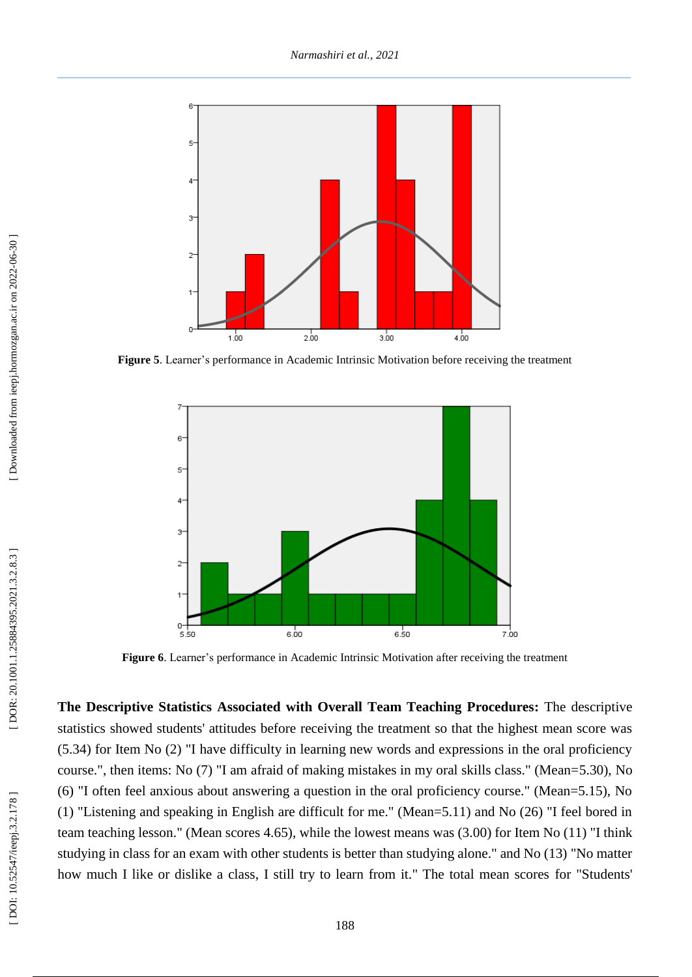

**Figure 5**. Learner's performance in Academic Intrinsic Motivation before receiving the treatment



**Figure 6**. Learner's performance in Academic Intrinsic Motivation after receiving the treatment

**The Descriptive Statistics Associated with Overall Team Teaching Procedures:** The descriptive statistics showed students' attitudes before receiving the treatment so that the highest mean score was (5.34) for Item No (2) "I have difficulty in learning new words and expressions in the oral proficiency course.", then items: No (7) "I am afraid of making mistakes in my oral skills class." (Mean=5.30), No (6) "I often feel anxious about answering a question in the oral proficiency course." (Mean=5.15), No (1) "Listening and speaking in English are difficult for me." (Mean=5.11) and No (26) "I feel bored in team teaching lesson." (Mean scores 4.65), while the lowest means was (3.00) for Item No (11) "I think studying in class for an exam with other students is better than studying alone." and No (13) "No matter how much I like or dislike a class, I still try to learn from it." The total mean scores for "Students'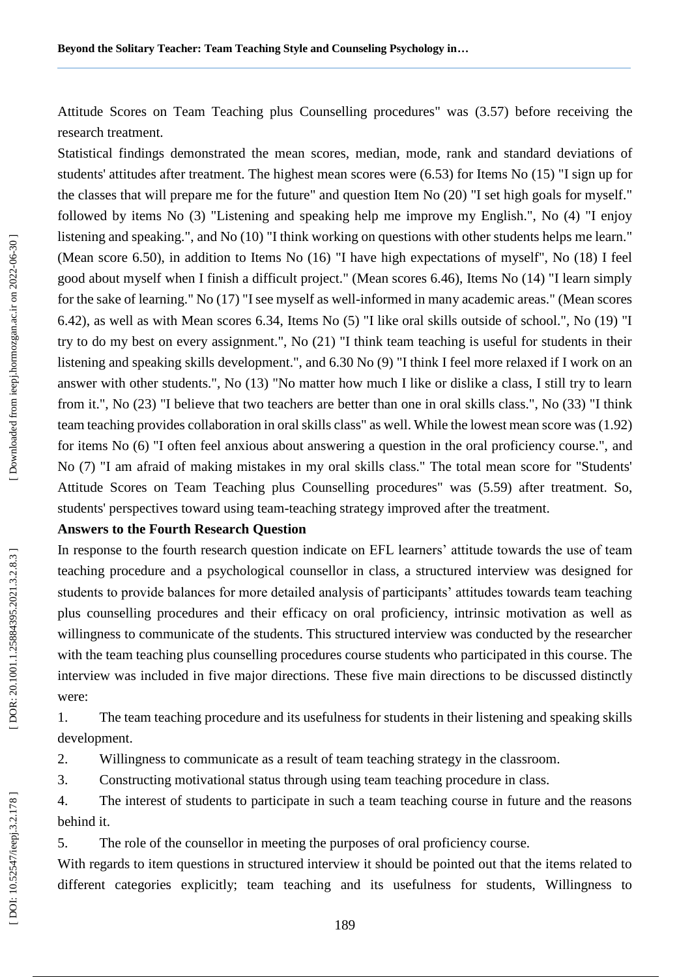Attitude Scores on Team Teaching plus Counselling procedures" was (3.57) before receiving the research treatment.

Statistical findings demonstrated the mean scores, median, mode, rank and standard deviations of students' attitudes after treatment. The highest mean scores were (6.53) for Items No (15) "I sign up for the classes that will prepare me for the future" and question Item No (20) "I set high goals for myself." followed by items No (3) "Listening and speaking help me improve my English.", No (4) "I enjoy listening and speaking.", and No (10) "I think working on questions with other students helps me learn." (Mean score 6.50), in addition to Items No (16) "I have high expectations of myself", No (18) I feel good about myself when I finish a difficult project." (Mean scores 6.46), Items No (14) "I learn simply for the sake of learning." No (17) "I see myself as well -informed in many academic areas." (Mean scores 6.42), as well as with Mean scores 6.34, Items No (5) "I like oral skills outside of school.", No (19) "I try to do my best on every assignment.", No (21) "I think team teaching is useful for students in their listening and speaking skills development.", and 6.30 No (9) "I think I feel more relaxed if I work on an answer with other students.", No (13) "No matter how much I like or dislike a class, I still try to learn from it.", No (23) "I believe that two teachers are better than one in oral skills class.", No (33) "I think team teaching provides collaboration in oral skills class" as well. While the lowest mean score was (1.92) for items No (6) "I often feel anxious about answering a question in the oral proficiency course.", and No (7) "I am afraid of making mistakes in my oral skills class." The total mean score for "Students' Attitude Scores on Team Teaching plus Counselling procedures" was (5.59) after treatment. So, students' perspectives toward using team -teaching strategy improved after the treatment.

# **Answers to the Fourth Research Question**

In response to the fourth research question indicate on EFL learners' attitude towards the use of team teaching procedure and a psychological counsellor in class, a structured interview was designed for students to provide balances for more detailed analysis of participants' attitudes towards team teaching plus counselling procedures and their efficacy on oral proficiency, intrinsic motivation as well as willingness to communicate of the students. This structured interview was conducted by the researcher with the team teaching plus counselling procedures course students who participated in this course. The interview was included in five major directions. These five main directions to be discussed distinctly were:<br>1. The team teaching procedure and its usefulness for students in their listening and speaking skills

development.

2. Willingness to communicate as a result of team teaching strategy in the classroom.<br>3. Constructing motivational status through using team teaching procedure in class.<br>4. The interest of students to participate in such a

behind it.

5. The role of the counsellor in meeting the purposes of oral proficiency course.

With regards to item questions in structured interview it should be pointed out that the items related to different categories explicitly; team teaching and its usefulness for students, Willingness to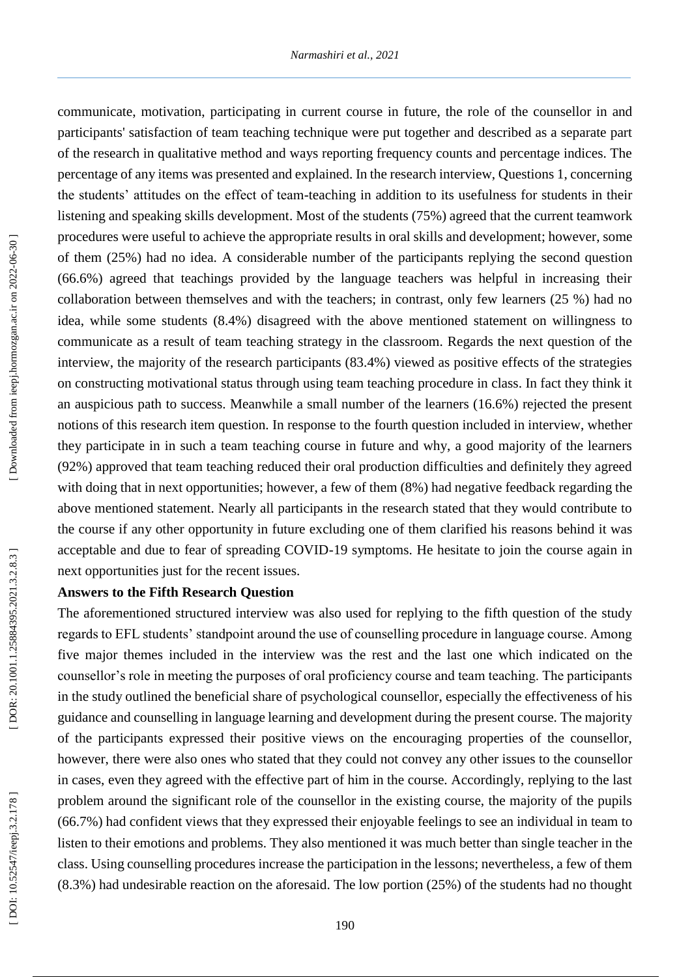communicate, motivation, participating in current course in future, the role of the counsellor in and participants' satisfaction of team teaching technique were put together and described as a separate part of the research in qualitative method and ways reporting frequency counts and percentage indices. The percentage of any items was presented and explained. In the research interview, Questions 1, concerning the students' attitudes on the effect of team -teaching in addition to its usefulness for students in their listening and speaking skills development. Most of the students (75%) agreed that the current teamwork procedures were useful to achieve the appropriate results in oral skills and development; however, some of them (25%) had no idea. A considerable number of the participants replying the second question (66.6%) agreed that teachings provided by the language teachers was helpful in increasing their collaboration between themselves and with the teachers; in contrast, only few learners (25 %) had no idea, while some students (8.4%) disagreed with the above mentioned statement on willingness to communicate as a result of team teaching strategy in the classroom. Regards the next question of the interview, the majority of the research participants (83.4%) viewed as positive effects of the strategies on constructing motivational status through using team teaching procedure in class. In fact they think it an auspicious path to success. Meanwhile a small number of the learners (16.6%) rejected the present notions of this research item question. In response to the fourth question included in interview, whether they participate in in such a team teaching course in future and why, a good majority of the learners (92%) approved that team teaching reduced their oral production difficulties and definitely they agreed with doing that in next opportunities; however, a few of them (8%) had negative feedback regarding the above mentioned statement. Nearly all participants in the research stated that they would contribute to the course if any other opportunity in future excluding one of them clarified his reasons behind it was acceptable and due to fear of spreading COVID -19 symptoms. He hesitate to join the course again in next opportunities just for the recent issues.

# **Answers to the Fifth Research Question**

The aforementioned structured interview was also used for replying to the fifth question of the study regards to EFL students' standpoint around the use of counselling procedure in language course. Among five major themes included in the interview was the rest and the last one which indicated on the counsellor's role in meeting the purposes of oral proficiency course and team teaching. The participants in the study outlined the beneficial share of psychological counsellor, especially the effectiveness of his guidance and counselling in language learning and development during the present course. The majority of the participants expressed their positive views on the encouraging properties of the counsellor, however, there were also ones who stated that they could not convey any other issues to the counsellor in cases, even they agreed with the effective part of him in the course. Accordingly, replying to the last problem around the significant role of the counsellor in the existing course, the majority of the pupils (66.7%) had confident views that they expressed their enjoyable feelings to see an individual in team to listen to their emotions and problems. They also mentioned it was much better than single teacher in the class. Using counselling procedures increase the participation in the lessons; nevertheless, a few of them (8.3%) had undesirable reaction on the aforesaid. The low portion (25%) of the students had no thought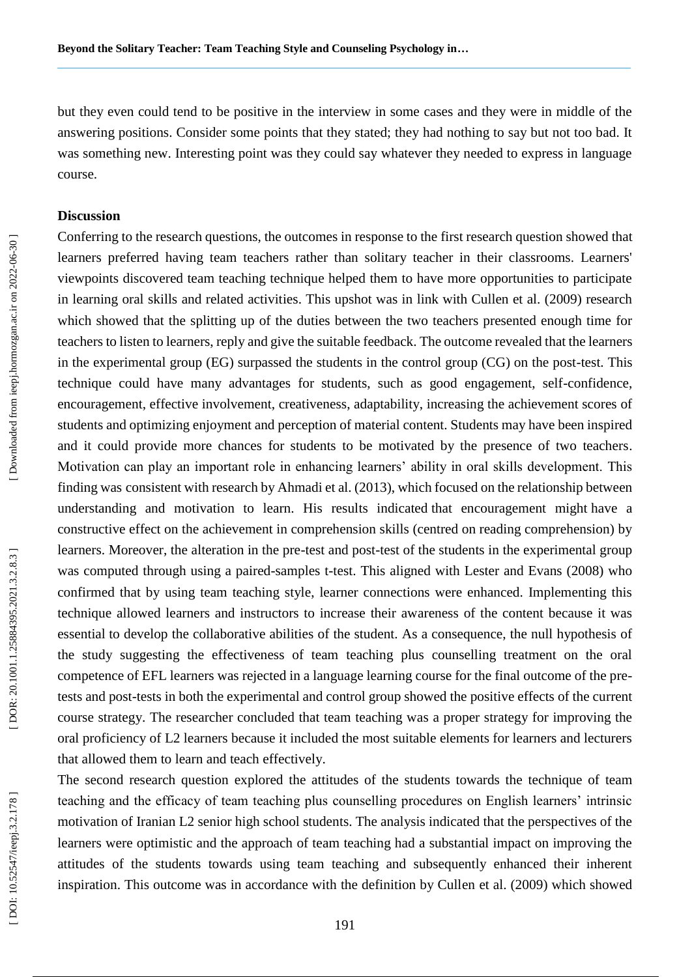but they even could tend to be positive in the interview in some cases and they were in middle of the answering positions. Consider some points that they stated; they had nothing to say but not too bad. It was something new. Interesting point was they could say whatever they needed to express in language course.

### **Discussion**

Conferring to the research questions, the outcomes in response to the first research question showed that learners preferred having team teachers rather than solitary teacher in their classrooms. Learners' viewpoints discovered team teaching technique helped them to have more opportunities to participate in learning oral skills and related activities. This upshot was in link with Cullen et al. (2009) research which showed that the splitting up of the duties between the two teachers presented enough time for teachers to listen to learners, reply and give the suitable feedback. The outcome revealed that the learners in the experimental group (EG) surpassed the students in the control group (CG) on the post -test. This technique could have many advantages for students, such as good engagement, self -confidence, encouragement, effective involvement, creativeness, adaptability, increasing the achievement scores of students and optimizing enjoyment and perception of material content. Students may have been inspired and it could provide more chances for students to be motivated by the presence of two teachers. Motivation can play an important role in enhancing learners' ability in oral skills development. This finding was consistent with research by Ahmadi et al. (2013), which focused on the relationship between understanding and motivation to learn. His results indicated that encouragement might have a constructive effect on the achievement in comprehension skills (centred on reading comprehension) by learners. Moreover, the alteration in the pre-test and post-test of the students in the experimental group was computed through using a paired-samples t-test. This aligned with Lester and Evans (2008) who confirmed that by using team teaching style, learner connections were enhanced. Implementing this technique allowed learners and instructors to increase their awareness of the content because it was essential to develop the collaborative abilities of the student. As a consequence, the null hypothesis of the study suggesting the effectiveness of team teaching plus counselling treatment on the oral competence of EFL learners was rejected in a language learning course for the final outcome of the pre tests and post -tests in both the experimental and control group showed the positive effects of the current course strategy. The researcher concluded that team teaching was a proper strategy for improving the oral proficiency of L2 learners because it included the most suitable elements for learners and lecturers that allowed them to learn and teach effectively.

The second research question explored the attitudes of the students towards the technique of team teaching and the efficacy of team teaching plus counselling procedures on English learners' intrinsic motivation of Iranian L2 senior high school students. The analysis indicated that the perspectives of the learners were optimistic and the approach of team teaching had a substantial impact on improving the attitudes of the students towards using team teaching and subsequently enhanced their inherent inspiration. This outcome was in accordance with the definition by Cullen et al. (2009) which showed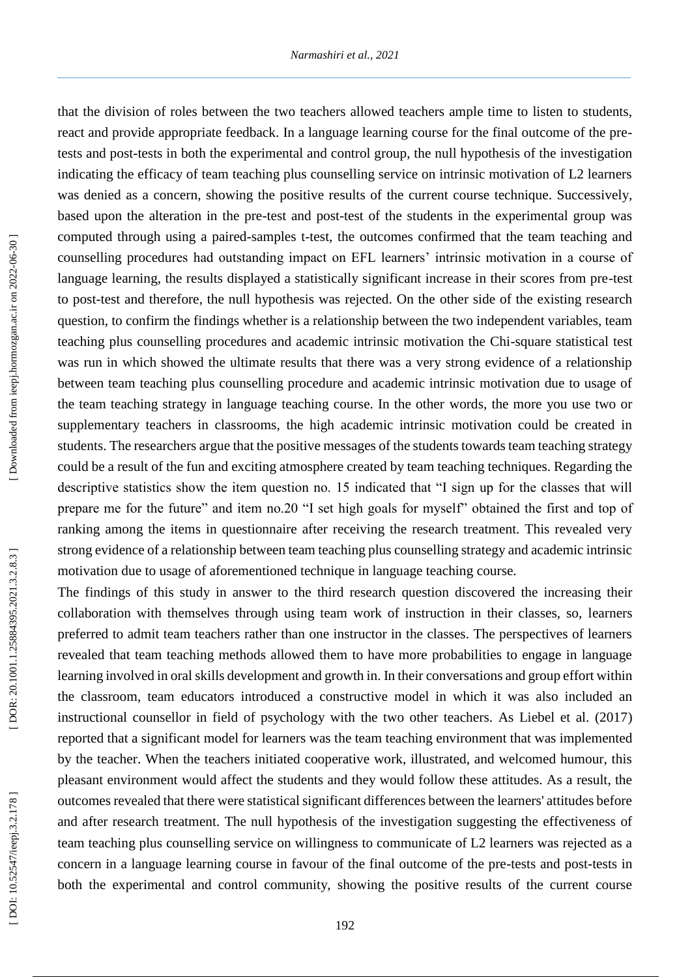that the division of roles between the two teachers allowed teachers ample time to listen to students, react and provide appropriate feedback. In a language learning course for the final outcome of the pre tests and post -tests in both the experimental and control group, the null hypothesis of the investigation indicating the efficacy of team teaching plus counselling service on intrinsic motivation of L2 learners was denied as a concern, showing the positive results of the current course technique. Successively, based upon the alteration in the pre -test and post -test of the students in the experimental group was computed through using a paired -samples t -test, the outcomes confirmed that the team teaching and counselling procedures had outstanding impact on EFL learners' intrinsic motivation in a course of language learning, the results displayed a statistically significant increase in their scores from pre-test to post -test and therefore, the null hypothesis was rejected. On the other side of the existing research question, to confirm the findings whether is a relationship between the two independent variables, team teaching plus counselling procedures and academic intrinsic motivation the Chi -square statistical test was run in which showed the ultimate results that there was a very strong evidence of a relationship between team teaching plus counselling procedure and academic intrinsic motivation due to usage of the team teaching strategy in language teaching course. In the other words, the more you use two or supplementary teachers in classrooms, the high academic intrinsic motivation could be created in students. The researchers argue that the positive messages of the students towards team teaching strategy could be a result of the fun and exciting atmosphere created by team teaching techniques. Regarding the descriptive statistics show the item question no. 15 indicated that "I sign up for the classes that will prepare me for the future" and item no.20 "I set high goals for myself" obtained the first and top of ranking among the items in questionnaire after receiving the research treatment. This revealed very strong evidence of a relationship between team teaching plus counselling strategy and academic intrinsic motivation due to usage of aforementioned technique in language teaching course.

The findings of this study in answer to the third research question discovered the increasing their collaboration with themselves through using team work of instruction in their classes, so, learners preferred to admit team teachers rather than one instructor in the classes. The perspectives of learners revealed that team teaching methods allowed them to have more probabilities to engage in language learning involved in oral skills development and growth in. In their conversations and group effort within the classroom, team educators introduced a constructive model in which it was also included an instructional counsellor in field of psychology with the two other teachers. As Liebel et al. (2017 ) reported that a significant model for learners was the team teaching environment that was implemented by the teacher. When the teachers initiated cooperative work, illustrated, and welcomed humour, this pleasant environment would affect the students and they would follow these attitudes. As a result, the outcomes revealed that there were statistical significant differences between the learners' attitudes before and after research treatment. The null hypothesis of the investigation suggesting the effectiveness of team teaching plus counselling service on willingness to communicate of L2 learners was rejected as a concern in a language learning course in favour of the final outcome of the pre -tests and post -tests in both the experimental and control community, showing the positive results of the current course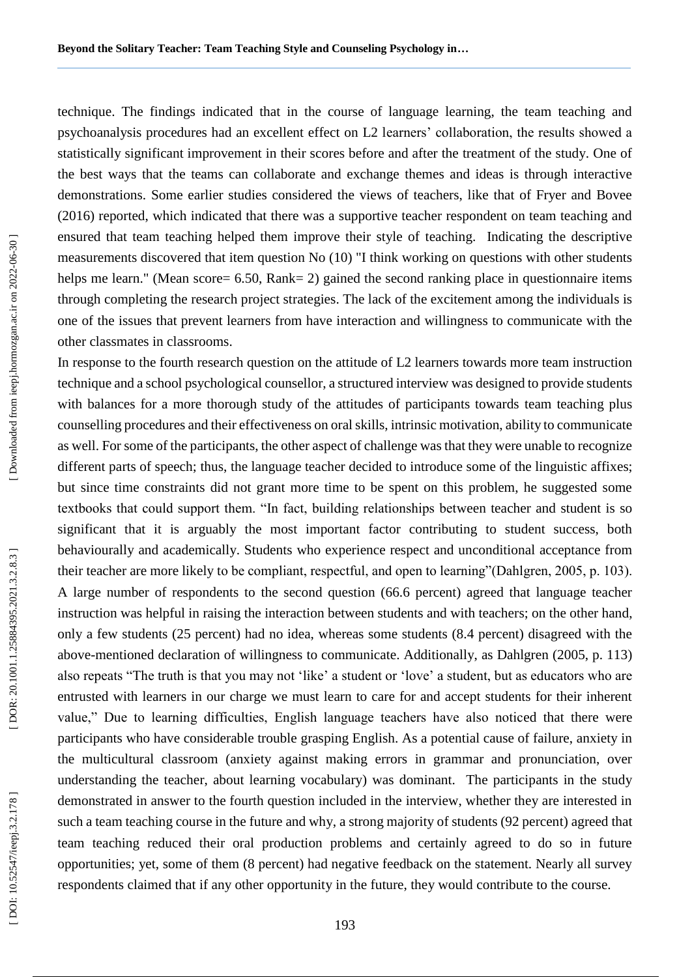technique. The findings indicated that in the course of language learning, the team teaching and psychoanalysis procedures had an excellent effect on L2 learners' collaboration, the results showed a statistically significant improvement in their scores before and after the treatment of the study. One of the best ways that the teams can collaborate and exchange themes and ideas is through interactive demonstrations. Some earlier studies considered the views of teachers, like that of Fryer and Bovee (2016) reported, which indicated that there was a supportive teacher respondent on team teaching and ensured that team teaching helped them improve their style of teaching. Indicating the descriptive measurements discovered that item question No (10) "I think working on questions with other students helps me learn." (Mean score= 6.50, Rank= 2) gained the second ranking place in questionnaire items through completing the research project strategies. The lack of the excitement among the individuals is one of the issues that prevent learners from have interaction and willingness to communicate with the other classmates in classrooms.

In response to the fourth research question on the attitude of L2 learners towards more team instruction technique and a school psychological counsellor, a structured interview was designed to provide students with balances for a more thorough study of the attitudes of participants towards team teaching plus counselling procedures and their effectiveness on oral skills, intrinsic motivation, ability to communicate as well. For some of the participants, the other aspect of challenge was that they were unable to recognize different parts of speech; thus, the language teacher decided to introduce some of the linguistic affixes; but since time constraints did not grant more time to be spent on this problem, he suggested some textbooks that could support them. "In fact, building relationships between teacher and student is so significant that it is arguably the most important factor contributing to student success, both behaviourally and academically. Students who experience respect and unconditional acceptance from their teacher are more likely to be compliant, respectful, and open to learning"(Dahlgren, 2005, p. 103). A large number of respondents to the second question (66.6 percent) agreed that language teacher instruction was helpful in raising the interaction between students and with teachers; on the other hand, only a few students (25 percent) had no idea, whereas some students (8.4 percent) disagreed with the above -mentioned declaration of willingness to communicate. Additionally, as Dahlgren (2005, p. 113) also repeats "The truth is that you may not 'like' a student or 'love' a student, but as educators who are entrusted with learners in our charge we must learn to care for and accept students for their inherent value," Due to learning difficulties, English language teachers have also noticed that there were participants who have considerable trouble grasping English. As a potential cause of failure, anxiety in the multicultural classroom (anxiety against making errors in grammar and pronunciation, over understanding the teacher, about learning vocabulary) was dominant. The participants in the study demonstrated in answer to the fourth question included in the interview, whether they are interested in such a team teaching course in the future and why, a strong majority of students (92 percent) agreed that team teaching reduced their oral production problems and certainly agreed to do so in future opportunities; yet, some of them (8 percent) had negative feedback on the statement. Nearly all survey respondents claimed that if any other opportunity in the future, they would contribute to the course.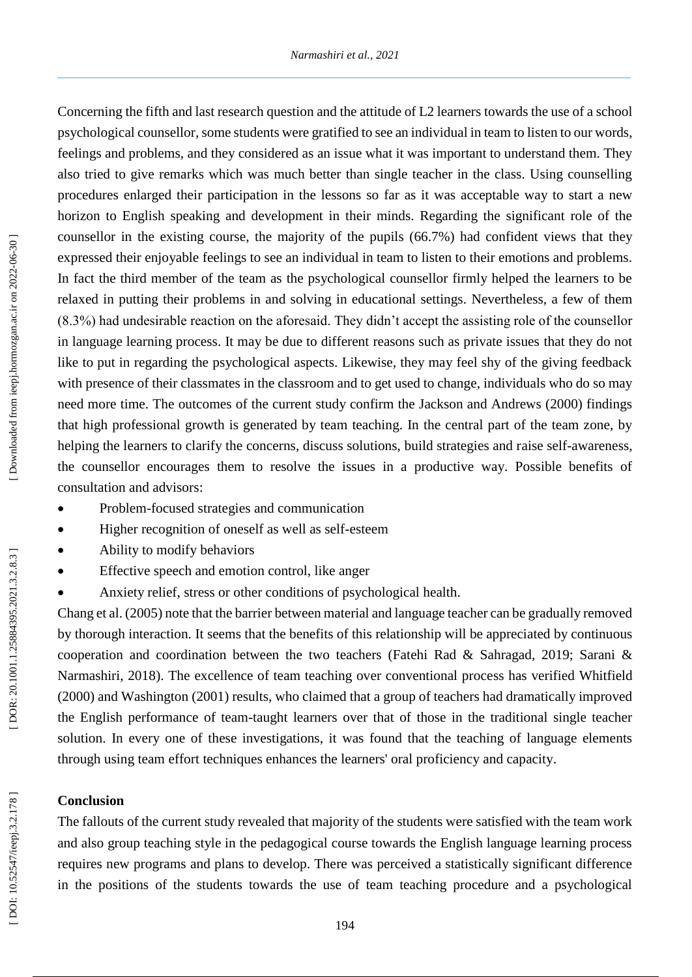Concerning the fifth and last research question and the attitude of L2 learners towards the use of a school psychological counsellor, some students were gratified to see an individual in team to listen to our words, feelings and problems, and they considered as an issue what it was important to understand them. They also tried to give remarks which was much better than single teacher in the class. Using counselling procedures enlarged their participation in the lessons so far as it was acceptable way to start a new horizon to English speaking and development in their minds. Regarding the significant role of the counsellor in the existing course, the majority of the pupils (66.7%) had confident views that they expressed their enjoyable feelings to see an individual in team to listen to their emotions and problems. In fact the third member of the team as the psychological counsellor firmly helped the learners to be relaxed in putting their problems in and solving in educational settings. Nevertheless, a few of them (8.3%) had undesirable reaction on the aforesaid. They didn't accept the assisting role of the counsellor in language learning process. It may be due to different reasons such as private issues that they do not like to put in regarding the psychological aspects. Likewise, they may feel shy of the giving feedback with presence of their classmates in the classroom and to get used to change, individuals who do so may need more time. The outcomes of the current study confirm the Jackson and Andrews (2000) findings that high professional growth is generated by team teaching. In the central part of the team zone, by helping the learners to clarify the concerns, discuss solutions, build strategies and raise self-awareness, the counsellor encourages them to resolve the issues in a productive way. Possible benefits of consultation and advisors:

- Problem-focused strategies and communication
- Higher recognition of oneself as well as self-esteem
- Ability to modify behaviors
- Effective speech and emotion control, like anger
- Anxiety relief, stress or other conditions of psychological health.

Chang et al. (2005) note that the barrier between material and language teacher can be gradually removed by thorough interaction. It seems that the benefits of this relationship will be appreciated by continuous cooperation and coordination between the two teachers (Fatehi Rad & Sahragad, 2019; Sarani & Narmashiri, 2018). The excellence of team teaching over conventional process has verified Whitfield (2000) and Washington (2001) results, who claimed that a group of teachers had dramatically improved the English performance of team -taught learners over that of those in the traditional single teacher solution. In every one of these investigations, it was found that the teaching of language elements through using team effort techniques enhances the learners' oral proficiency and capacity.

### **Conclusion**

The fallouts of the current study revealed that majority of the students were satisfied with the team work and also group teaching style in the pedagogical course towards the English language learning process requires new programs and plans to develop. There was perceived a statistically significant difference in the positions of the students towards the use of team teaching procedure and a psychological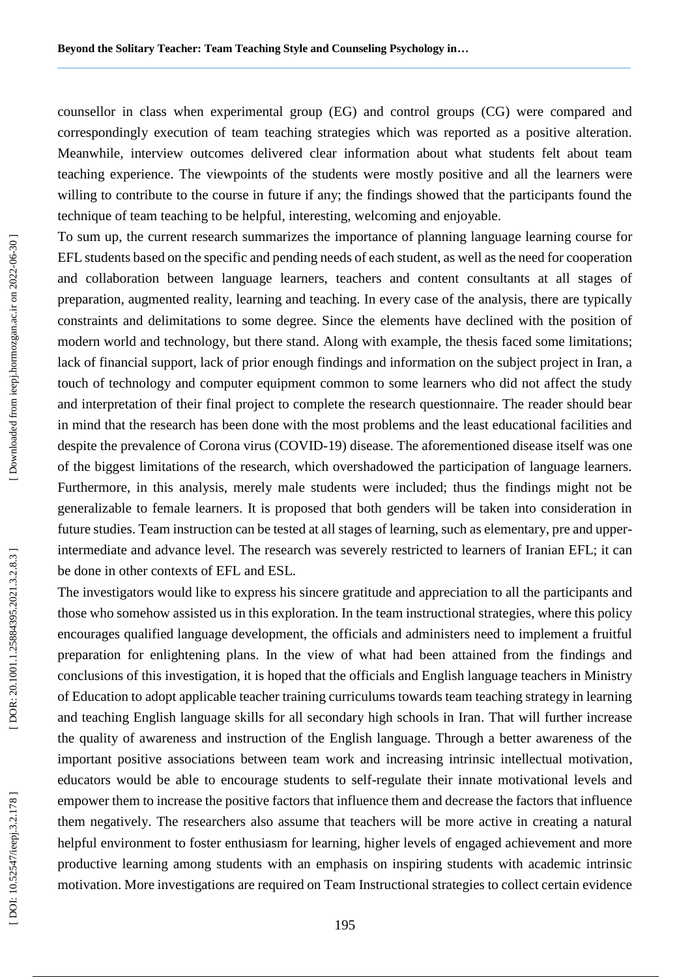counsellor in class when experimental group (EG) and control groups (CG) were compared and correspondingly execution of team teaching strategies which was reported as a positive alteration. Meanwhile, interview outcomes delivered clear information about what students felt about team teaching experience. The viewpoints of the students were mostly positive and all the learners were willing to contribute to the course in future if any; the findings showed that the participants found the technique of team teaching to be helpful, interesting, welcoming and enjoyable.

To sum up, the current research summarizes the importance of planning language learning course for EFL students based on the specific and pending needs of each student, as well as the need for cooperation and collaboration between language learners, teachers and content consultants at all stages of preparation, augmented reality, learning and teaching. In every case of the analysis, there are typically constraints and delimitations to some degree. Since the elements have declined with the position of modern world and technology, but there stand. Along with example, the thesis faced some limitations; lack of financial support, lack of prior enough findings and information on the subject project in Iran, a touch of technology and computer equipment common to some learners who did not affect the study and interpretation of their final project to complete the research questionnaire. The reader should bear in mind that the research has been done with the most problems and the least educational facilities and despite the prevalence of Corona virus (COVID -19) disease. The aforementioned disease itself was one of the biggest limitations of the research, which overshadowed the participation of language learners. Furthermore, in this analysis, merely male students were included; thus the findings might not be generalizable to female learners. It is proposed that both genders will be taken into consideration in future studies. Team instruction can be tested at all stages of learning, such as elementary, pre and upper intermediate and advance level. The research was severely restricted to learners of Iranian EFL; it can be done in other contexts of EFL and ESL.

The investigators would like to express his sincere gratitude and appreciation to all the participants and those who somehow assisted us in this exploration. In the team instructional strategies, where this policy encourages qualified language development, the officials and administers need to implement a fruitful preparation for enlightening plans. In the view of what had been attained from the findings and conclusions of this investigation, it is hoped that the officials and English language teachers in Ministry of Education to adopt applicable teacher training curriculums towards team teaching strategy in learning and teaching English language skills for all secondary high schools in Iran. That will further increase the quality of awareness and instruction of the English language. Through a better awareness of the important positive associations between team work and increasing intrinsic intellectual motivation, educators would be able to encourage students to self -regulate their innate motivational levels and empower them to increase the positive factors that influence them and decrease the factors that influence them negatively. The researchers also assume that teachers will be more active in creating a natural helpful environment to foster enthusiasm for learning, higher levels of engaged achievement and more productive learning among students with an emphasis on inspiring students with academic intrinsic motivation. More investigations are required on Team Instructional strategies to collect certain evidence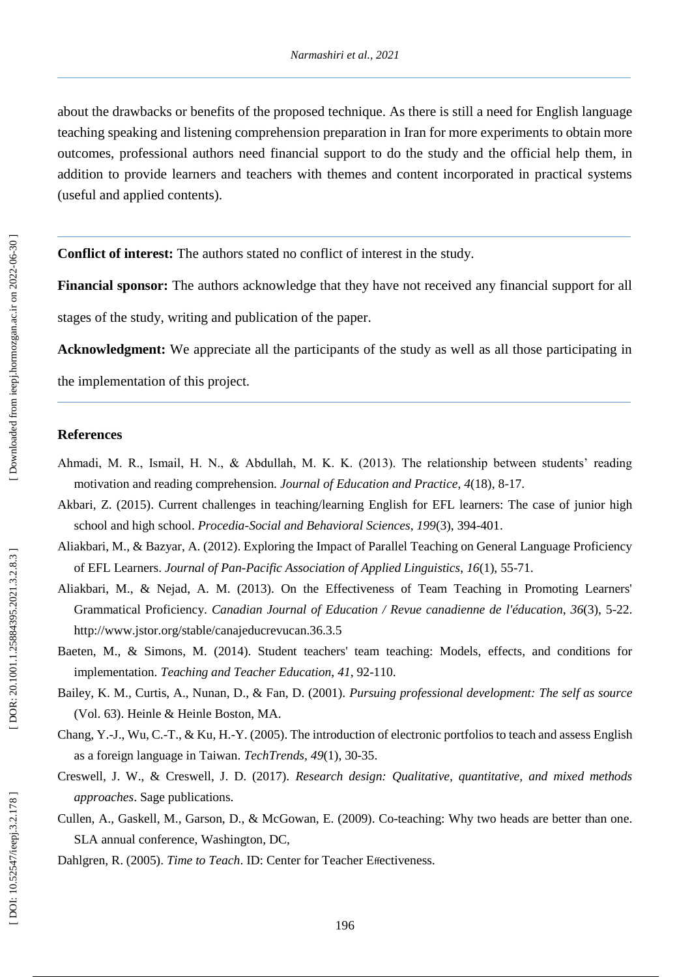about the drawbacks or benefits of the proposed technique. As there is still a need for English language teaching speaking and listening comprehension preparation in Iran for more experiments to obtain more outcomes, professional authors need financial support to do the study and the official help them, in addition to provide learners and teachers with themes and content incorporated in practical systems (useful and applied contents).

**Conflict of interest:** The authors state d no conflict of interest in the study.

**Financial sponsor:** The authors acknowledge that they have not received any financial support for all

stages of the study, writing and publication of the paper.

**Acknowledgment:** We appreciate all the participants of the study as well as all those participating in

the implementation of this project.

#### **References**

- Ahmadi, M. R., Ismail, H. N., & Abdullah, M. K. K. (2013). The relationship between students' reading motivation and reading comprehension. *Journal of Education and Practice* , *4*(18), 8 -17.
- Akbari, Z. (2015). Current challenges in teaching/learning English for EFL learners: The case of junior high school and high school. *Procedia -Social and Behavioral Sciences* , *199*(3), 394 -401.
- Aliakbari, M., & Bazyar, A. (2012). Exploring the Impact of Parallel Teaching on General Language Proficiency of EFL Learners. *Journal of Pan -Pacific Association of Applied Linguistics* , *16*(1), 55 -71.
- Aliakbari, M., & Nejad, A. M. (2013). On the Effectiveness of Team Teaching in Promoting Learners' Grammatical Proficiency. Canadian Journal of Education / Revue canadienne de l'éducation, 36(3), 5-22. http://www.jstor.org/stable/canajeducrevucan.36.3.5
- Baeten, M., & Simons, M. (2014). Student teachers' team teaching: Models, effects, and conditions for implementation. *Teaching and Teacher Education* , *41*, 92 -110.
- Bailey, K. M., Curtis, A., Nunan, D., & Fan, D. (2001). *Pursuing professional development: The self as source* (Vol. 63). Heinle & Heinle Boston, MA.
- Chang, Y. -J., Wu, C. -T., & Ku, H. -Y. (2005). The introduction of electronic portfolios to teach and assess English as a foreign language in Taiwan. *TechTrends* , *49*(1), 30 -35.
- Creswell, J. W., & Creswell, J. D. (2017). *Research design: Qualitative, quantitative, and mixed methods approaches*. Sage publications.
- Cullen, A., Gaskell, M., Garson, D., & McGowan, E. (2009). Co -teaching: Why two heads are better than one. SLA annual conference, Washington, DC,
- Dahlgren, R. (2005). Time to Teach. ID: Center for Teacher Effectiveness.